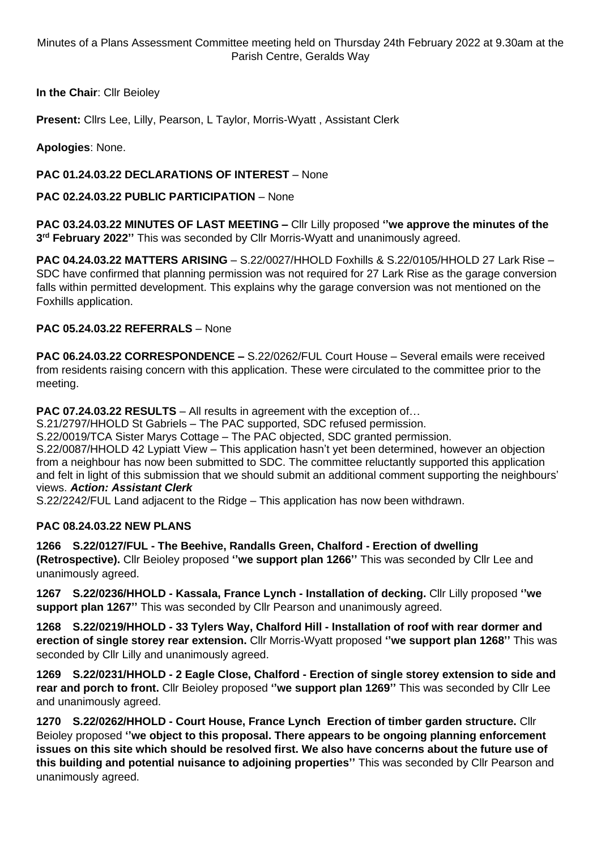Minutes of a Plans Assessment Committee meeting held on Thursday 24th February 2022 at 9.30am at the Parish Centre, Geralds Way

**In the Chair**: Cllr Beioley

**Present:** Cllrs Lee, Lilly, Pearson, L Taylor, Morris-Wyatt , Assistant Clerk

**Apologies**: None.

## **PAC 01.24.03.22 DECLARATIONS OF INTEREST** – None

**PAC 02.24.03.22 PUBLIC PARTICIPATION** – None

**PAC 03.24.03.22 MINUTES OF LAST MEETING –** Cllr Lilly proposed **''we approve the minutes of the 3 rd February 2022''** This was seconded by Cllr Morris-Wyatt and unanimously agreed.

**PAC 04.24.03.22 MATTERS ARISING** – S.22/0027/HHOLD Foxhills & S.22/0105/HHOLD 27 Lark Rise – SDC have confirmed that planning permission was not required for 27 Lark Rise as the garage conversion falls within permitted development. This explains why the garage conversion was not mentioned on the Foxhills application.

## **PAC 05.24.03.22 REFERRALS** – None

**PAC 06.24.03.22 CORRESPONDENCE –** S.22/0262/FUL Court House – Several emails were received from residents raising concern with this application. These were circulated to the committee prior to the meeting.

**PAC 07.24.03.22 RESULTS** – All results in agreement with the exception of…

S.21/2797/HHOLD St Gabriels – The PAC supported, SDC refused permission.

S.22/0019/TCA Sister Marys Cottage – The PAC objected, SDC granted permission.

S.22/0087/HHOLD 42 Lypiatt View – This application hasn't yet been determined, however an objection from a neighbour has now been submitted to SDC. The committee reluctantly supported this application and felt in light of this submission that we should submit an additional comment supporting the neighbours' views. *Action: Assistant Clerk*

S.22/2242/FUL Land adjacent to the Ridge – This application has now been withdrawn.

## **PAC 08.24.03.22 NEW PLANS**

**1266 S.22/0127/FUL - The Beehive, Randalls Green, Chalford - Erection of dwelling**

**(Retrospective).** Cllr Beioley proposed **''we support plan 1266''** This was seconded by Cllr Lee and unanimously agreed.

**1267 S.22/0236/HHOLD - Kassala, France Lynch - Installation of decking.** Cllr Lilly proposed **''we support plan 1267''** This was seconded by Cllr Pearson and unanimously agreed.

**1268 S.22/0219/HHOLD - 33 Tylers Way, Chalford Hill - Installation of roof with rear dormer and erection of single storey rear extension.** Cllr Morris-Wyatt proposed **''we support plan 1268''** This was seconded by Cllr Lilly and unanimously agreed.

**1269 S.22/0231/HHOLD - 2 Eagle Close, Chalford - Erection of single storey extension to side and rear and porch to front.** Cllr Beioley proposed **''we support plan 1269''** This was seconded by Cllr Lee and unanimously agreed.

**1270 S.22/0262/HHOLD - Court House, France Lynch Erection of timber garden structure.** Cllr Beioley proposed **''we object to this proposal. There appears to be ongoing planning enforcement issues on this site which should be resolved first. We also have concerns about the future use of this building and potential nuisance to adjoining properties''** This was seconded by Cllr Pearson and unanimously agreed.